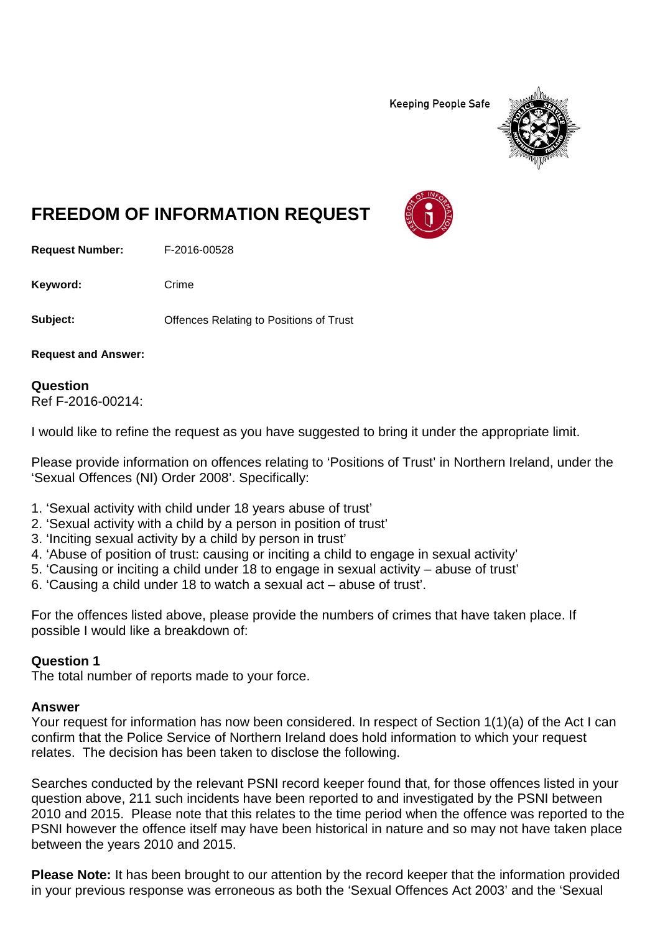**Keeping People Safe** 



# **FREEDOM OF INFORMATION REQUEST**

**Request Number:** F-2016-00528

Keyword: Crime

**Subject: Conservery Offences Relating to Positions of Trust** 

**Request and Answer:**

#### **Question** Ref F-2016-00214:

I would like to refine the request as you have suggested to bring it under the appropriate limit.

Please provide information on offences relating to 'Positions of Trust' in Northern Ireland, under the 'Sexual Offences (NI) Order 2008'. Specifically:

- 1. 'Sexual activity with child under 18 years abuse of trust'
- 2. 'Sexual activity with a child by a person in position of trust'
- 3. 'Inciting sexual activity by a child by person in trust'
- 4. 'Abuse of position of trust: causing or inciting a child to engage in sexual activity'
- 5. 'Causing or inciting a child under 18 to engage in sexual activity abuse of trust'
- 6. 'Causing a child under 18 to watch a sexual act abuse of trust'.

For the offences listed above, please provide the numbers of crimes that have taken place. If possible I would like a breakdown of:

#### **Question 1**

The total number of reports made to your force.

#### **Answer**

Your request for information has now been considered. In respect of Section 1(1)(a) of the Act I can confirm that the Police Service of Northern Ireland does hold information to which your request relates. The decision has been taken to disclose the following.

Searches conducted by the relevant PSNI record keeper found that, for those offences listed in your question above, 211 such incidents have been reported to and investigated by the PSNI between 2010 and 2015. Please note that this relates to the time period when the offence was reported to the PSNI however the offence itself may have been historical in nature and so may not have taken place between the years 2010 and 2015.

**Please Note:** It has been brought to our attention by the record keeper that the information provided in your previous response was erroneous as both the 'Sexual Offences Act 2003' and the 'Sexual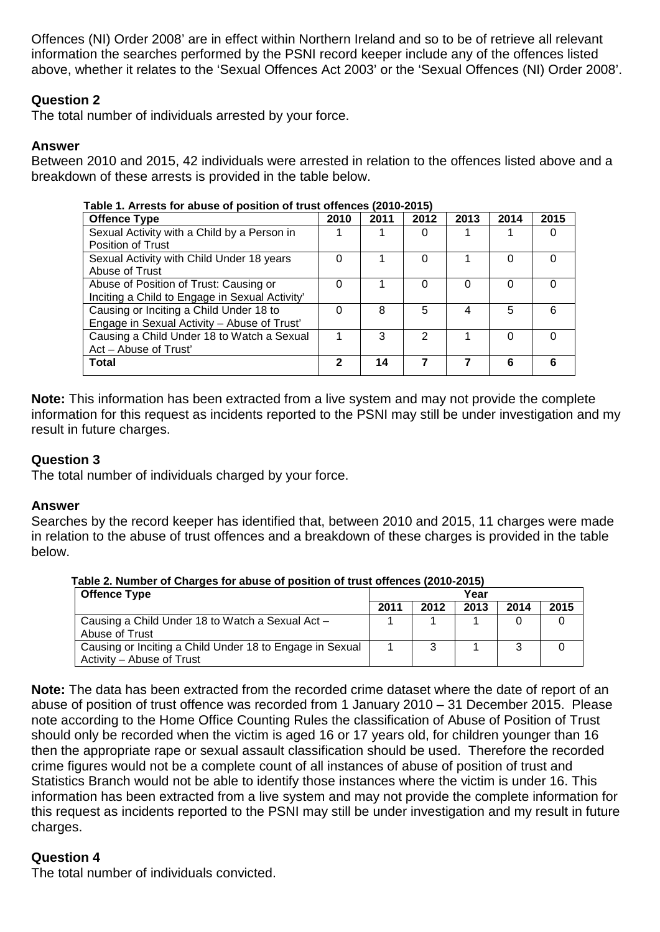Offences (NI) Order 2008' are in effect within Northern Ireland and so to be of retrieve all relevant information the searches performed by the PSNI record keeper include any of the offences listed above, whether it relates to the 'Sexual Offences Act 2003' or the 'Sexual Offences (NI) Order 2008'.

# **Question 2**

The total number of individuals arrested by your force.

# **Answer**

Between 2010 and 2015, 42 individuals were arrested in relation to the offences listed above and a breakdown of these arrests is provided in the table below.

| Table 1. Arrests for abuse of position of trust offences (2010-2015) |      |      |          |          |      |      |  |  |  |
|----------------------------------------------------------------------|------|------|----------|----------|------|------|--|--|--|
| <b>Offence Type</b>                                                  | 2010 | 2011 | 2012     | 2013     | 2014 | 2015 |  |  |  |
| Sexual Activity with a Child by a Person in                          |      |      | $\Omega$ |          |      |      |  |  |  |
| <b>Position of Trust</b>                                             |      |      |          |          |      |      |  |  |  |
| Sexual Activity with Child Under 18 years                            |      |      | 0        |          | O    |      |  |  |  |
| Abuse of Trust                                                       |      |      |          |          |      |      |  |  |  |
| Abuse of Position of Trust: Causing or                               |      |      | $\Omega$ | $\Omega$ | O    |      |  |  |  |
| Inciting a Child to Engage in Sexual Activity'                       |      |      |          |          |      |      |  |  |  |
| Causing or Inciting a Child Under 18 to                              | ∩    | 8    | 5        | 4        | 5    | ี    |  |  |  |
| Engage in Sexual Activity - Abuse of Trust'                          |      |      |          |          |      |      |  |  |  |
| Causing a Child Under 18 to Watch a Sexual                           |      | 3    | 2        |          | 0    |      |  |  |  |
| Act - Abuse of Trust'                                                |      |      |          |          |      |      |  |  |  |
| Total                                                                | 2    | 14   |          |          | 6    |      |  |  |  |
|                                                                      |      |      |          |          |      |      |  |  |  |

 **Table 1. Arrests for abuse of position of trust offences (2010-2015)**

**Note:** This information has been extracted from a live system and may not provide the complete information for this request as incidents reported to the PSNI may still be under investigation and my result in future charges.

# **Question 3**

The total number of individuals charged by your force.

# **Answer**

Searches by the record keeper has identified that, between 2010 and 2015, 11 charges were made in relation to the abuse of trust offences and a breakdown of these charges is provided in the table below.

| <b>Offence Type</b>                                                                   | Year |      |      |      |      |  |
|---------------------------------------------------------------------------------------|------|------|------|------|------|--|
|                                                                                       | 2011 | 2012 | 2013 | 2014 | 2015 |  |
| Causing a Child Under 18 to Watch a Sexual Act -<br>Abuse of Trust                    |      |      |      |      |      |  |
| Causing or Inciting a Child Under 18 to Engage in Sexual<br>Activity – Abuse of Trust |      |      |      | 3    |      |  |

**Table 2. Number of Charges for abuse of position of trust offences (2010-2015)**

**Note:** The data has been extracted from the recorded crime dataset where the date of report of an abuse of position of trust offence was recorded from 1 January 2010 – 31 December 2015. Please note according to the Home Office Counting Rules the classification of Abuse of Position of Trust should only be recorded when the victim is aged 16 or 17 years old, for children younger than 16 then the appropriate rape or sexual assault classification should be used. Therefore the recorded crime figures would not be a complete count of all instances of abuse of position of trust and Statistics Branch would not be able to identify those instances where the victim is under 16. This information has been extracted from a live system and may not provide the complete information for this request as incidents reported to the PSNI may still be under investigation and my result in future charges.

# **Question 4**

The total number of individuals convicted.